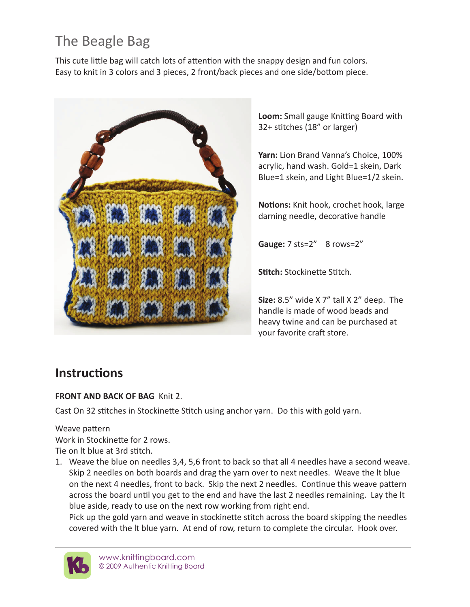# The Beagle Bag

This cute little bag will catch lots of attention with the snappy design and fun colors. Easy to knit in 3 colors and 3 pieces, 2 front/back pieces and one side/bottom piece.



**Loom:** Small gauge Knitting Board with 32+ stitches (18" or larger)

**Yarn:** Lion Brand Vanna's Choice, 100% acrylic, hand wash. Gold=1 skein, Dark Blue=1 skein, and Light Blue=1/2 skein.

**Notions:** Knit hook, crochet hook, large darning needle, decorative handle

**Gauge:** 7 sts=2" 8 rows=2"

**Stitch:** Stockinette Stitch.

**Size:** 8.5" wide X 7" tall X 2" deep. The handle is made of wood beads and heavy twine and can be purchased at your favorite craft store.

## **Instructions**

#### **FRONT AND BACK OF BAG** Knit 2.

Cast On 32 stitches in Stockinette Stitch using anchor yarn. Do this with gold yarn.

Weave pattern

Work in Stockinette for 2 rows. Tie on lt blue at 3rd stitch.

- 
- 1. Weave the blue on needles 3,4, 5,6 front to back so that all 4 needles have a second weave. Skip 2 needles on both boards and drag the yarn over to next needles. Weave the lt blue on the next 4 needles, front to back. Skip the next 2 needles. Continue this weave pattern across the board until you get to the end and have the last 2 needles remaining. Lay the lt blue aside, ready to use on the next row working from right end.

Pick up the gold yarn and weave in stockinette stitch across the board skipping the needles covered with the lt blue yarn. At end of row, return to complete the circular. Hook over.